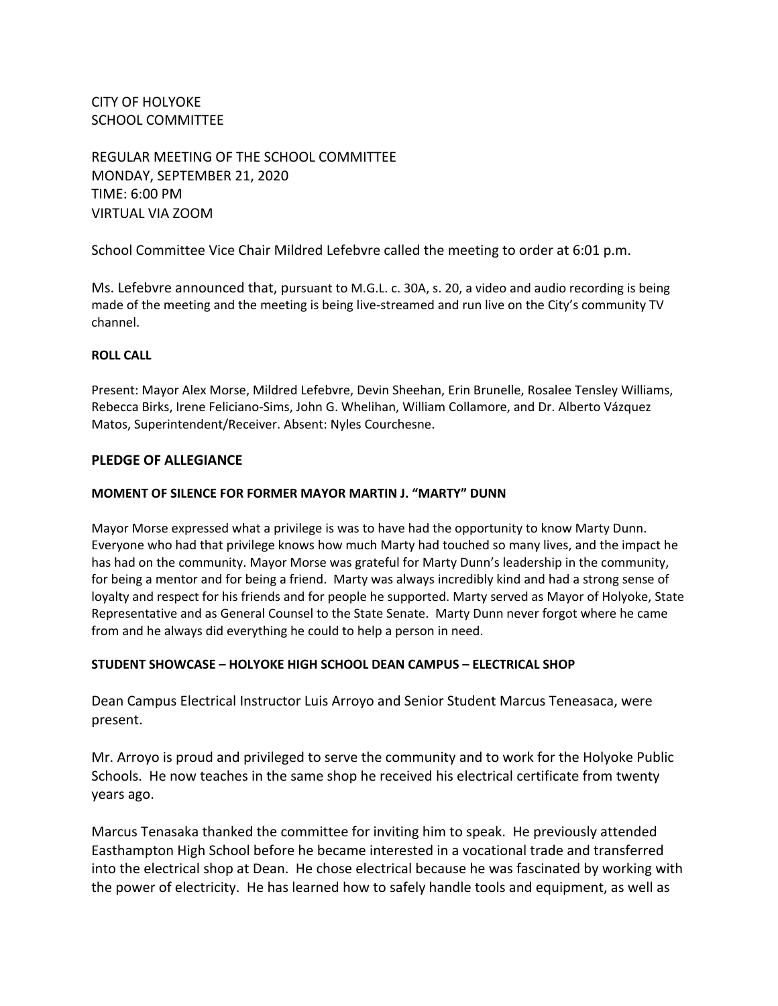CITY OF HOLYOKE SCHOOL COMMITTEE

REGULAR MEETING OF THE SCHOOL COMMITTEE MONDAY, SEPTEMBER 21, 2020 TIME: 6:00 PM VIRTUAL VIA ZOOM

School Committee Vice Chair Mildred Lefebvre called the meeting to order at 6:01 p.m.

Ms. Lefebvre announced that, pursuant to M.G.L. c. 30A, s. 20, a video and audio recording is being made of the meeting and the meeting is being live-streamed and run live on the City's community TV channel.

#### **ROLL CALL**

Present: Mayor Alex Morse, Mildred Lefebvre, Devin Sheehan, Erin Brunelle, Rosalee Tensley Williams, Rebecca Birks, Irene Feliciano-Sims, John G. Whelihan, William Collamore, and Dr. Alberto Vázquez Matos, Superintendent/Receiver. Absent: Nyles Courchesne.

### **PLEDGE OF ALLEGIANCE**

#### **MOMENT OF SILENCE FOR FORMER MAYOR MARTIN J. "MARTY" DUNN**

Mayor Morse expressed what a privilege is was to have had the opportunity to know Marty Dunn. Everyone who had that privilege knows how much Marty had touched so many lives, and the impact he has had on the community. Mayor Morse was grateful for Marty Dunn's leadership in the community, for being a mentor and for being a friend. Marty was always incredibly kind and had a strong sense of loyalty and respect for his friends and for people he supported. Marty served as Mayor of Holyoke, State Representative and as General Counsel to the State Senate. Marty Dunn never forgot where he came from and he always did everything he could to help a person in need.

### **STUDENT SHOWCASE – HOLYOKE HIGH SCHOOL DEAN CAMPUS – ELECTRICAL SHOP**

Dean Campus Electrical Instructor Luis Arroyo and Senior Student Marcus Teneasaca, were present.

Mr. Arroyo is proud and privileged to serve the community and to work for the Holyoke Public Schools. He now teaches in the same shop he received his electrical certificate from twenty years ago.

Marcus Tenasaka thanked the committee for inviting him to speak. He previously attended Easthampton High School before he became interested in a vocational trade and transferred into the electrical shop at Dean. He chose electrical because he was fascinated by working with the power of electricity. He has learned how to safely handle tools and equipment, as well as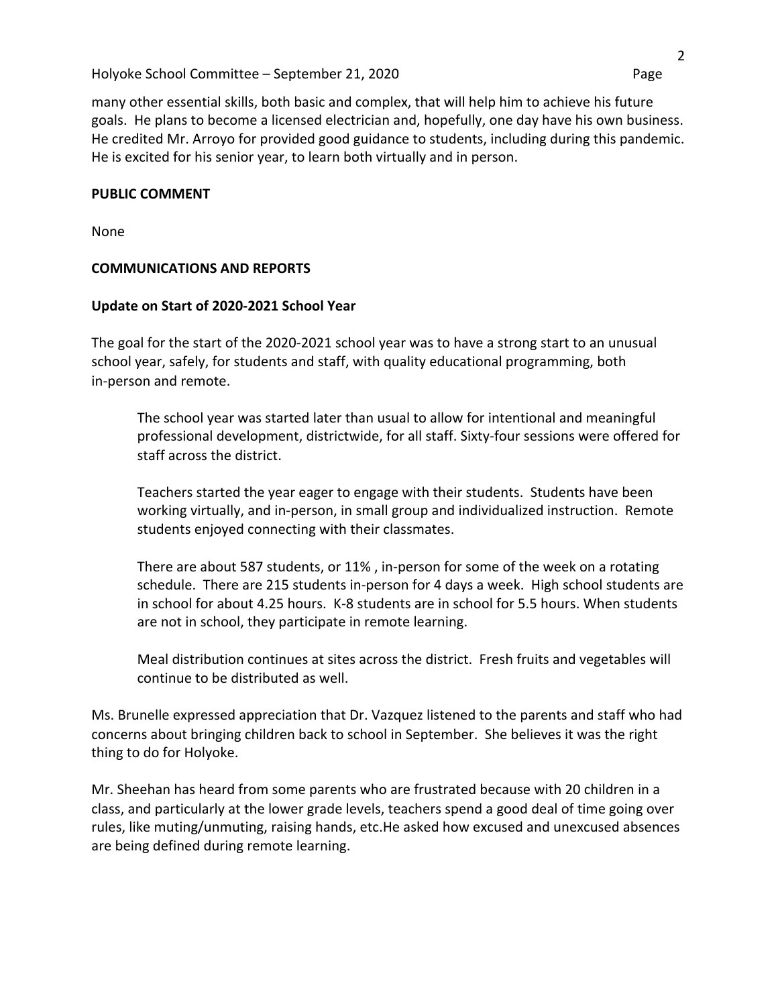### Holyoke School Committee – September 21, 2020 Page

many other essential skills, both basic and complex, that will help him to achieve his future goals. He plans to become a licensed electrician and, hopefully, one day have his own business. He credited Mr. Arroyo for provided good guidance to students, including during this pandemic. He is excited for his senior year, to learn both virtually and in person.

#### **PUBLIC COMMENT**

None

# **COMMUNICATIONS AND REPORTS**

### **Update on Start of 2020-2021 School Year**

The goal for the start of the 2020-2021 school year was to have a strong start to an unusual school year, safely, for students and staff, with quality educational programming, both in-person and remote.

The school year was started later than usual to allow for intentional and meaningful professional development, districtwide, for all staff. Sixty-four sessions were offered for staff across the district.

Teachers started the year eager to engage with their students. Students have been working virtually, and in-person, in small group and individualized instruction. Remote students enjoyed connecting with their classmates.

There are about 587 students, or 11% , in-person for some of the week on a rotating schedule. There are 215 students in-person for 4 days a week. High school students are in school for about 4.25 hours. K-8 students are in school for 5.5 hours. When students are not in school, they participate in remote learning.

Meal distribution continues at sites across the district. Fresh fruits and vegetables will continue to be distributed as well.

Ms. Brunelle expressed appreciation that Dr. Vazquez listened to the parents and staff who had concerns about bringing children back to school in September. She believes it was the right thing to do for Holyoke.

Mr. Sheehan has heard from some parents who are frustrated because with 20 children in a class, and particularly at the lower grade levels, teachers spend a good deal of time going over rules, like muting/unmuting, raising hands, etc.He asked how excused and unexcused absences are being defined during remote learning.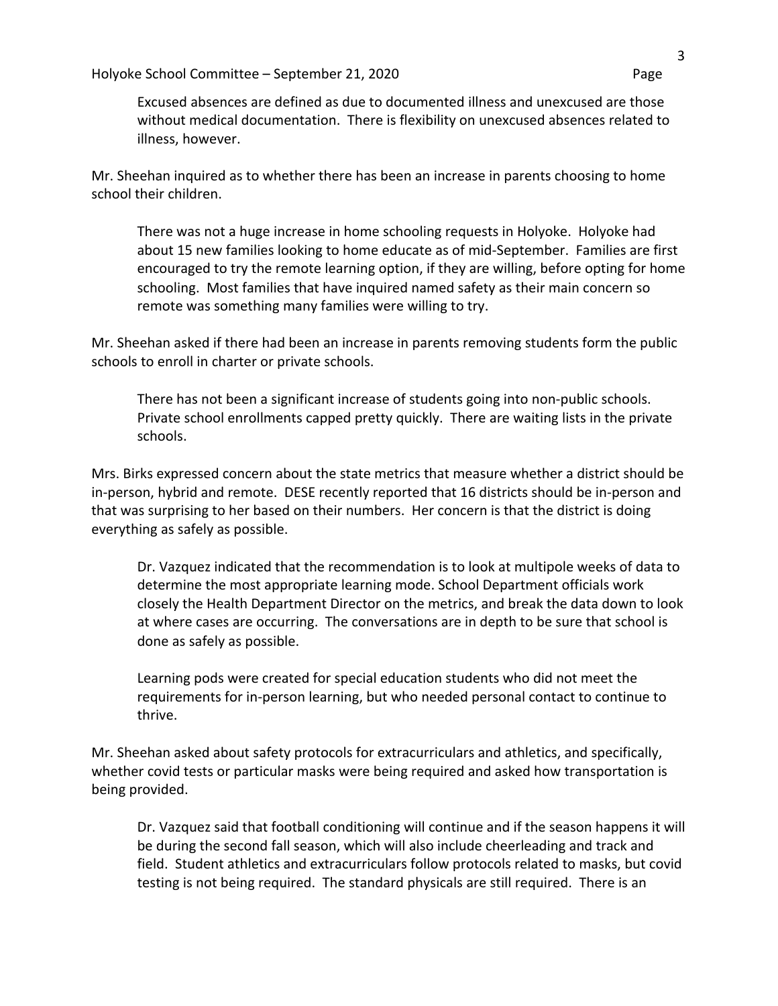Excused absences are defined as due to documented illness and unexcused are those without medical documentation. There is flexibility on unexcused absences related to illness, however.

Mr. Sheehan inquired as to whether there has been an increase in parents choosing to home school their children.

There was not a huge increase in home schooling requests in Holyoke. Holyoke had about 15 new families looking to home educate as of mid-September. Families are first encouraged to try the remote learning option, if they are willing, before opting for home schooling. Most families that have inquired named safety as their main concern so remote was something many families were willing to try.

Mr. Sheehan asked if there had been an increase in parents removing students form the public schools to enroll in charter or private schools.

There has not been a significant increase of students going into non-public schools. Private school enrollments capped pretty quickly. There are waiting lists in the private schools.

Mrs. Birks expressed concern about the state metrics that measure whether a district should be in-person, hybrid and remote. DESE recently reported that 16 districts should be in-person and that was surprising to her based on their numbers. Her concern is that the district is doing everything as safely as possible.

Dr. Vazquez indicated that the recommendation is to look at multipole weeks of data to determine the most appropriate learning mode. School Department officials work closely the Health Department Director on the metrics, and break the data down to look at where cases are occurring. The conversations are in depth to be sure that school is done as safely as possible.

Learning pods were created for special education students who did not meet the requirements for in-person learning, but who needed personal contact to continue to thrive.

Mr. Sheehan asked about safety protocols for extracurriculars and athletics, and specifically, whether covid tests or particular masks were being required and asked how transportation is being provided.

Dr. Vazquez said that football conditioning will continue and if the season happens it will be during the second fall season, which will also include cheerleading and track and field. Student athletics and extracurriculars follow protocols related to masks, but covid testing is not being required. The standard physicals are still required. There is an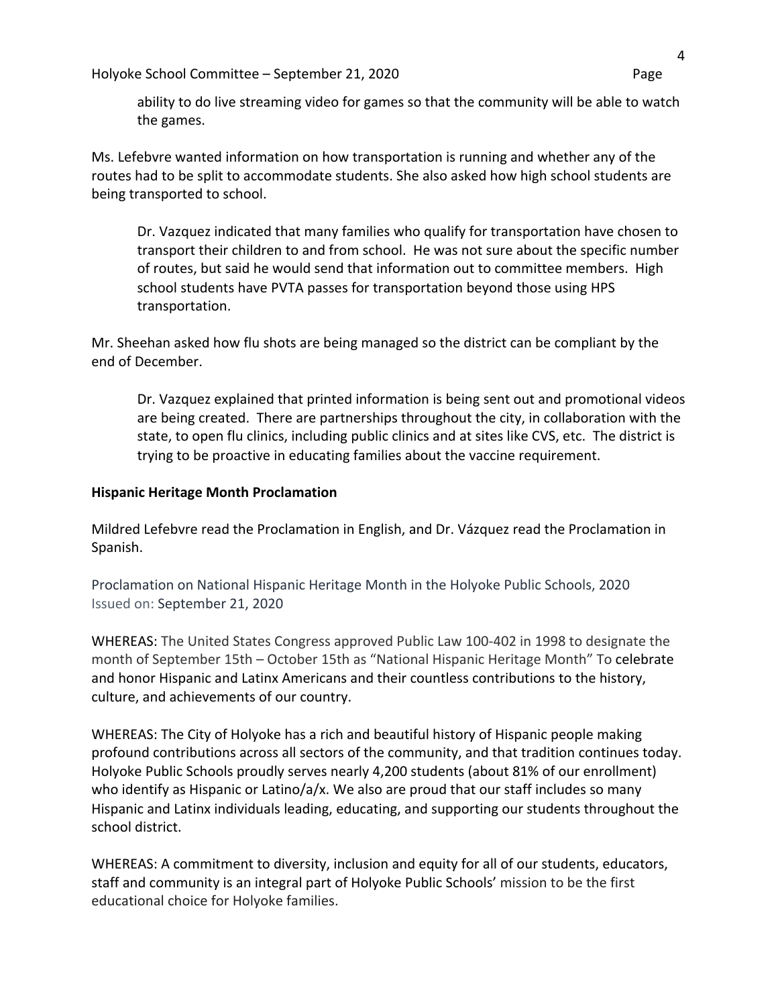ability to do live streaming video for games so that the community will be able to watch the games.

Ms. Lefebvre wanted information on how transportation is running and whether any of the routes had to be split to accommodate students. She also asked how high school students are being transported to school.

Dr. Vazquez indicated that many families who qualify for transportation have chosen to transport their children to and from school. He was not sure about the specific number of routes, but said he would send that information out to committee members. High school students have PVTA passes for transportation beyond those using HPS transportation.

Mr. Sheehan asked how flu shots are being managed so the district can be compliant by the end of December.

Dr. Vazquez explained that printed information is being sent out and promotional videos are being created. There are partnerships throughout the city, in collaboration with the state, to open flu clinics, including public clinics and at sites like CVS, etc. The district is trying to be proactive in educating families about the vaccine requirement.

# **Hispanic Heritage Month Proclamation**

Mildred Lefebvre read the Proclamation in English, and Dr. Vázquez read the Proclamation in Spanish.

Proclamation on National Hispanic Heritage Month in the Holyoke Public Schools, 2020 Issued on: September 21, 2020

WHEREAS: The United States Congress approved Public Law 100-402 in 1998 to designate the month of September 15th – October 15th as "National Hispanic Heritage Month" To celebrate and honor Hispanic and Latinx Americans and their countless contributions to the history, culture, and achievements of our country.

WHEREAS: The City of Holyoke has a rich and beautiful history of Hispanic people making profound contributions across all sectors of the community, and that tradition continues today. Holyoke Public Schools proudly serves nearly 4,200 students (about 81% of our enrollment) who identify as Hispanic or Latino/a/x. We also are proud that our staff includes so many Hispanic and Latinx individuals leading, educating, and supporting our students throughout the school district.

WHEREAS: A commitment to diversity, inclusion and equity for all of our students, educators, staff and community is an integral part of Holyoke Public Schools' mission to be the first educational choice for Holyoke families.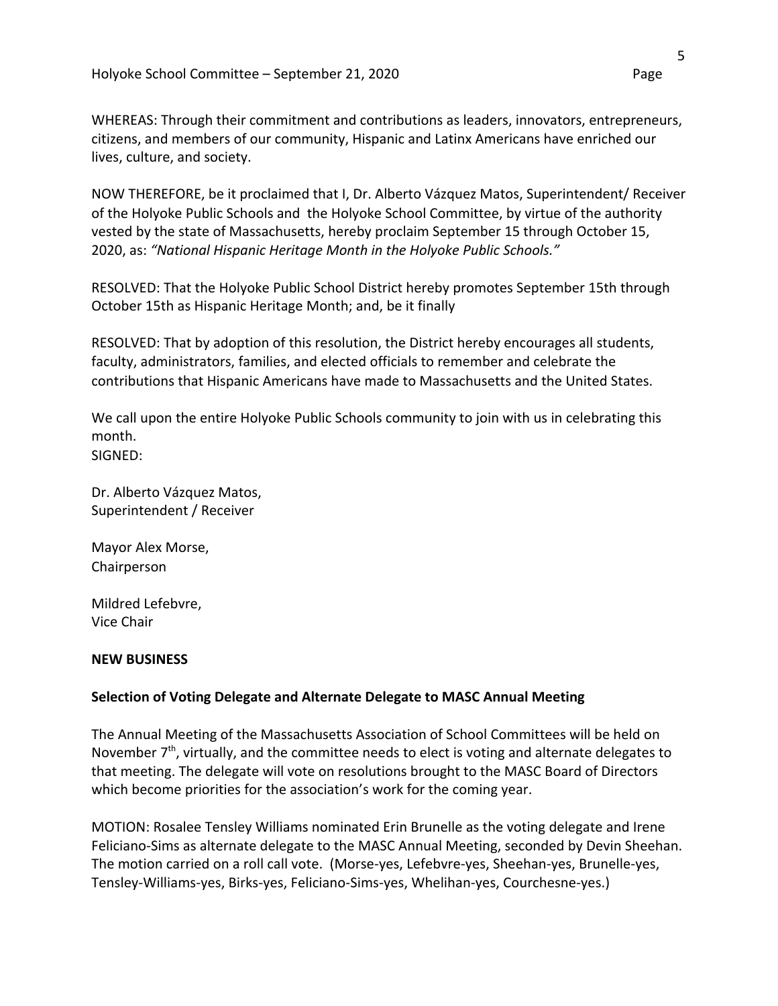WHEREAS: Through their commitment and contributions as leaders, innovators, entrepreneurs, citizens, and members of our community, Hispanic and Latinx Americans have enriched our lives, culture, and society.

NOW THEREFORE, be it proclaimed that I, Dr. Alberto Vázquez Matos, Superintendent/ Receiver of the Holyoke Public Schools and the Holyoke School Committee, by virtue of the authority vested by the state of Massachusetts, hereby proclaim September 15 through October 15, 2020, as: *"National Hispanic Heritage Month in the Holyoke Public Schools."*

RESOLVED: That the Holyoke Public School District hereby promotes September 15th through October 15th as Hispanic Heritage Month; and, be it finally

RESOLVED: That by adoption of this resolution, the District hereby encourages all students, faculty, administrators, families, and elected officials to remember and celebrate the contributions that Hispanic Americans have made to Massachusetts and the United States.

We call upon the entire Holyoke Public Schools community to join with us in celebrating this month. SIGNED:

Dr. Alberto Vázquez Matos, Superintendent / Receiver

Mayor Alex Morse, Chairperson

Mildred Lefebvre, Vice Chair

### **NEW BUSINESS**

# **Selection of Voting Delegate and Alternate Delegate to MASC Annual Meeting**

The Annual Meeting of the Massachusetts Association of School Committees will be held on November  $7<sup>th</sup>$ , virtually, and the committee needs to elect is voting and alternate delegates to that meeting. The delegate will vote on resolutions brought to the MASC Board of Directors which become priorities for the association's work for the coming year.

MOTION: Rosalee Tensley Williams nominated Erin Brunelle as the voting delegate and Irene Feliciano-Sims as alternate delegate to the MASC Annual Meeting, seconded by Devin Sheehan. The motion carried on a roll call vote. (Morse-yes, Lefebvre-yes, Sheehan-yes, Brunelle-yes, Tensley-Williams-yes, Birks-yes, Feliciano-Sims-yes, Whelihan-yes, Courchesne-yes.)